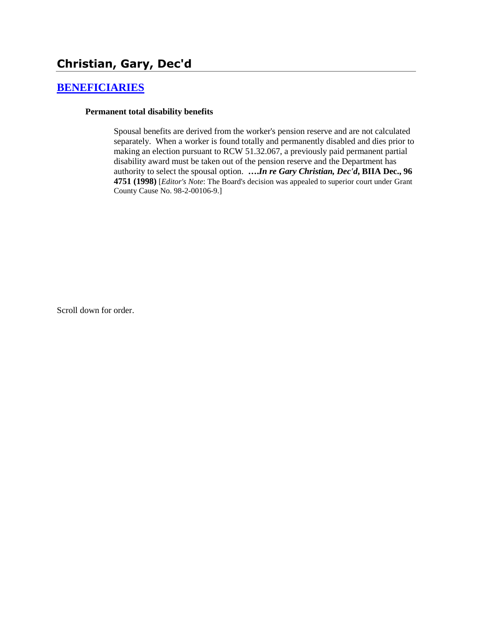# **Christian, Gary, Dec'd**

#### **[BENEFICIARIES](http://www.biia.wa.gov/SDSubjectIndex.html#BENEFICIARIES)**

#### **Permanent total disability benefits**

Spousal benefits are derived from the worker's pension reserve and are not calculated separately. When a worker is found totally and permanently disabled and dies prior to making an election pursuant to RCW 51.32.067, a previously paid permanent partial disability award must be taken out of the pension reserve and the Department has authority to select the spousal option. **….***In re Gary Christian, Dec'd***, BIIA Dec., 96 4751 (1998)** [*Editor's Note*: The Board's decision was appealed to superior court under Grant County Cause No. 98-2-00106-9.]

Scroll down for order.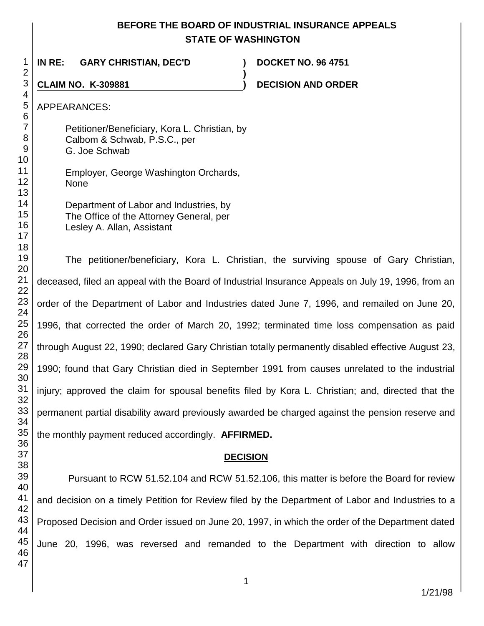## **BEFORE THE BOARD OF INDUSTRIAL INSURANCE APPEALS STATE OF WASHINGTON**

**)**

**IN RE: GARY CHRISTIAN, DEC'D ) DOCKET NO. 96 4751**

**CLAIM NO. K-309881 ) DECISION AND ORDER** 

APPEARANCES:

Petitioner/Beneficiary, Kora L. Christian, by Calbom & Schwab, P.S.C., per G. Joe Schwab

Employer, George Washington Orchards, None

| Department of Labor and Industries, by  |
|-----------------------------------------|
| The Office of the Attorney General, per |
| Lesley A. Allan, Assistant              |

The petitioner/beneficiary, Kora L. Christian, the surviving spouse of Gary Christian, deceased, filed an appeal with the Board of Industrial Insurance Appeals on July 19, 1996, from an order of the Department of Labor and Industries dated June 7, 1996, and remailed on June 20, 1996, that corrected the order of March 20, 1992; terminated time loss compensation as paid through August 22, 1990; declared Gary Christian totally permanently disabled effective August 23, 1990; found that Gary Christian died in September 1991 from causes unrelated to the industrial injury; approved the claim for spousal benefits filed by Kora L. Christian; and, directed that the permanent partial disability award previously awarded be charged against the pension reserve and the monthly payment reduced accordingly. **AFFIRMED.** 

#### **DECISION**

Pursuant to RCW 51.52.104 and RCW 51.52.106, this matter is before the Board for review and decision on a timely Petition for Review filed by the Department of Labor and Industries to a Proposed Decision and Order issued on June 20, 1997, in which the order of the Department dated June 20, 1996, was reversed and remanded to the Department with direction to allow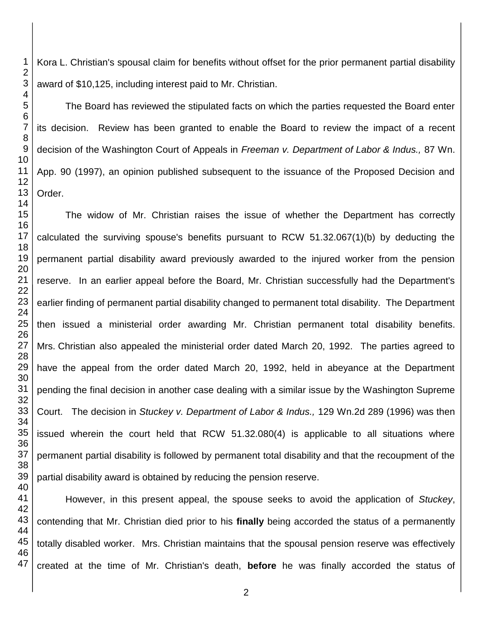Kora L. Christian's spousal claim for benefits without offset for the prior permanent partial disability award of \$10,125, including interest paid to Mr. Christian.

The Board has reviewed the stipulated facts on which the parties requested the Board enter its decision. Review has been granted to enable the Board to review the impact of a recent decision of the Washington Court of Appeals in *Freeman v. Department of Labor & Indus.,* 87 Wn. App. 90 (1997), an opinion published subsequent to the issuance of the Proposed Decision and Order.

The widow of Mr. Christian raises the issue of whether the Department has correctly calculated the surviving spouse's benefits pursuant to RCW 51.32.067(1)(b) by deducting the permanent partial disability award previously awarded to the injured worker from the pension reserve. In an earlier appeal before the Board, Mr. Christian successfully had the Department's earlier finding of permanent partial disability changed to permanent total disability. The Department then issued a ministerial order awarding Mr. Christian permanent total disability benefits. Mrs. Christian also appealed the ministerial order dated March 20, 1992. The parties agreed to have the appeal from the order dated March 20, 1992, held in abeyance at the Department pending the final decision in another case dealing with a similar issue by the Washington Supreme Court. The decision in *Stuckey v. Department of Labor & Indus.,* 129 Wn.2d 289 (1996) was then issued wherein the court held that RCW 51.32.080(4) is applicable to all situations where permanent partial disability is followed by permanent total disability and that the recoupment of the partial disability award is obtained by reducing the pension reserve.

However, in this present appeal, the spouse seeks to avoid the application of *Stuckey*, contending that Mr. Christian died prior to his **finally** being accorded the status of a permanently totally disabled worker. Mrs. Christian maintains that the spousal pension reserve was effectively created at the time of Mr. Christian's death, **before** he was finally accorded the status of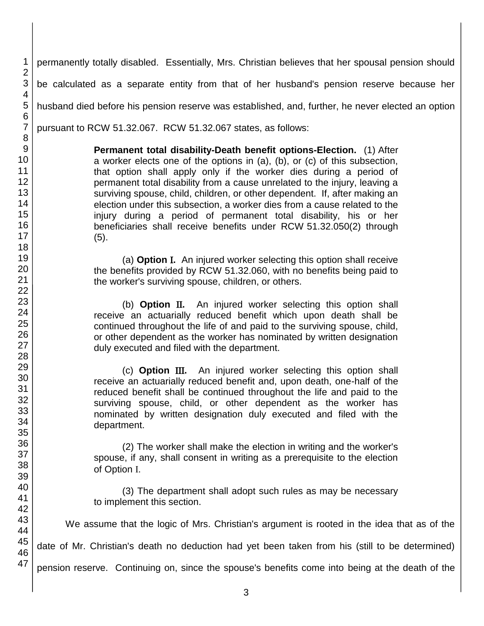1 permanently totally disabled. Essentially, Mrs. Christian believes that her spousal pension should be calculated as a separate entity from that of her husband's pension reserve because her husband died before his pension reserve was established, and, further, he never elected an option pursuant to RCW 51.32.067. RCW 51.32.067 states, as follows:

> **Permanent total disability-Death benefit options-Election.** (1) After a worker elects one of the options in (a), (b), or (c) of this subsection, that option shall apply only if the worker dies during a period of permanent total disability from a cause unrelated to the injury, leaving a surviving spouse, child, children, or other dependent. If, after making an election under this subsection, a worker dies from a cause related to the injury during a period of permanent total disability, his or her beneficiaries shall receive benefits under RCW 51.32.050(2) through (5).

> (a) **Option .** An injured worker selecting this option shall receive the benefits provided by RCW 51.32.060, with no benefits being paid to the worker's surviving spouse, children, or others.

> (b) **Option .** An injured worker selecting this option shall receive an actuarially reduced benefit which upon death shall be continued throughout the life of and paid to the surviving spouse, child, or other dependent as the worker has nominated by written designation duly executed and filed with the department.

> (c) **Option .** An injured worker selecting this option shall receive an actuarially reduced benefit and, upon death, one-half of the reduced benefit shall be continued throughout the life and paid to the surviving spouse, child, or other dependent as the worker has nominated by written designation duly executed and filed with the department.

> (2) The worker shall make the election in writing and the worker's spouse, if any, shall consent in writing as a prerequisite to the election of Option I.

> (3) The department shall adopt such rules as may be necessary to implement this section.

We assume that the logic of Mrs. Christian's argument is rooted in the idea that as of the

date of Mr. Christian's death no deduction had yet been taken from his (still to be determined)

pension reserve. Continuing on, since the spouse's benefits come into being at the death of the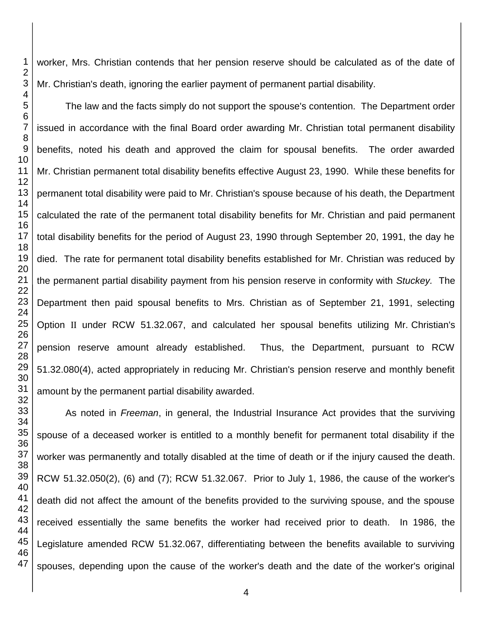worker, Mrs. Christian contends that her pension reserve should be calculated as of the date of Mr. Christian's death, ignoring the earlier payment of permanent partial disability.

The law and the facts simply do not support the spouse's contention. The Department order issued in accordance with the final Board order awarding Mr. Christian total permanent disability benefits, noted his death and approved the claim for spousal benefits. The order awarded Mr. Christian permanent total disability benefits effective August 23, 1990. While these benefits for permanent total disability were paid to Mr. Christian's spouse because of his death, the Department calculated the rate of the permanent total disability benefits for Mr. Christian and paid permanent total disability benefits for the period of August 23, 1990 through September 20, 1991, the day he died. The rate for permanent total disability benefits established for Mr. Christian was reduced by the permanent partial disability payment from his pension reserve in conformity with *Stuckey.* The Department then paid spousal benefits to Mrs. Christian as of September 21, 1991, selecting Option II under RCW 51.32.067, and calculated her spousal benefits utilizing Mr. Christian's pension reserve amount already established. Thus, the Department, pursuant to RCW 51.32.080(4), acted appropriately in reducing Mr. Christian's pension reserve and monthly benefit amount by the permanent partial disability awarded.

As noted in *Freeman*, in general, the Industrial Insurance Act provides that the surviving spouse of a deceased worker is entitled to a monthly benefit for permanent total disability if the worker was permanently and totally disabled at the time of death or if the injury caused the death. RCW 51.32.050(2), (6) and (7); RCW 51.32.067. Prior to July 1, 1986, the cause of the worker's death did not affect the amount of the benefits provided to the surviving spouse, and the spouse received essentially the same benefits the worker had received prior to death. In 1986, the Legislature amended RCW 51.32.067, differentiating between the benefits available to surviving spouses, depending upon the cause of the worker's death and the date of the worker's original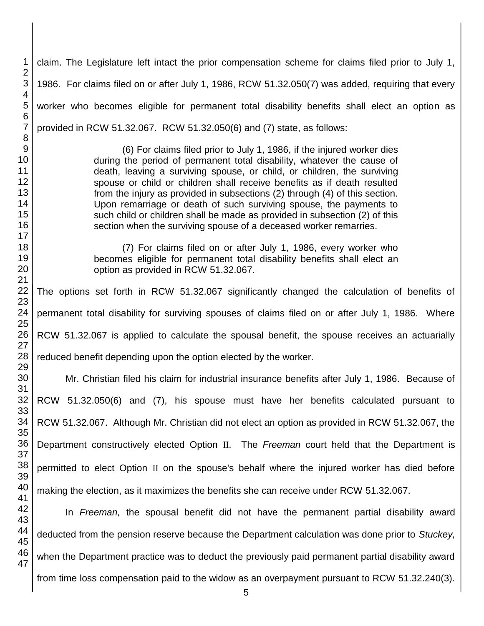claim. The Legislature left intact the prior compensation scheme for claims filed prior to July 1, 1986. For claims filed on or after July 1, 1986, RCW 51.32.050(7) was added, requiring that every worker who becomes eligible for permanent total disability benefits shall elect an option as provided in RCW 51.32.067. RCW 51.32.050(6) and (7) state, as follows:

(6) For claims filed prior to July 1, 1986, if the injured worker dies during the period of permanent total disability, whatever the cause of death, leaving a surviving spouse, or child, or children, the surviving spouse or child or children shall receive benefits as if death resulted from the injury as provided in subsections (2) through (4) of this section. Upon remarriage or death of such surviving spouse, the payments to such child or children shall be made as provided in subsection (2) of this section when the surviving spouse of a deceased worker remarries.

(7) For claims filed on or after July 1, 1986, every worker who becomes eligible for permanent total disability benefits shall elect an option as provided in RCW 51.32.067.

The options set forth in RCW 51.32.067 significantly changed the calculation of benefits of permanent total disability for surviving spouses of claims filed on or after July 1, 1986. Where RCW 51.32.067 is applied to calculate the spousal benefit, the spouse receives an actuarially reduced benefit depending upon the option elected by the worker.

 Mr. Christian filed his claim for industrial insurance benefits after July 1, 1986. Because of RCW 51.32.050(6) and (7), his spouse must have her benefits calculated pursuant to RCW 51.32.067. Although Mr. Christian did not elect an option as provided in RCW 51.32.067, the Department constructively elected Option II. The *Freeman* court held that the Department is permitted to elect Option II on the spouse's behalf where the injured worker has died before making the election, as it maximizes the benefits she can receive under RCW 51.32.067.

 In *Freeman,* the spousal benefit did not have the permanent partial disability award deducted from the pension reserve because the Department calculation was done prior to *Stuckey,*  when the Department practice was to deduct the previously paid permanent partial disability award from time loss compensation paid to the widow as an overpayment pursuant to RCW 51.32.240(3).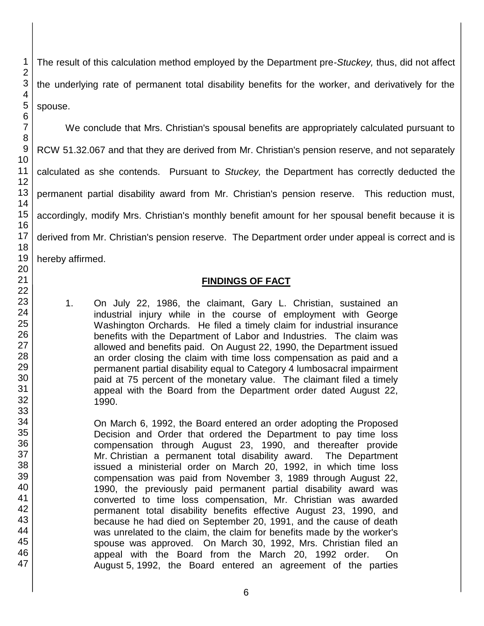46 47

1 2 3 The result of this calculation method employed by the Department pre-*Stuckey,* thus, did not affect the underlying rate of permanent total disability benefits for the worker, and derivatively for the

We conclude that Mrs. Christian's spousal benefits are appropriately calculated pursuant to RCW 51.32.067 and that they are derived from Mr. Christian's pension reserve, and not separately calculated as she contends. Pursuant to *Stuckey,* the Department has correctly deducted the permanent partial disability award from Mr. Christian's pension reserve. This reduction must, accordingly, modify Mrs. Christian's monthly benefit amount for her spousal benefit because it is derived from Mr. Christian's pension reserve. The Department order under appeal is correct and is hereby affirmed.

## **FINDINGS OF FACT**

- 1. On July 22, 1986, the claimant, Gary L. Christian, sustained an industrial injury while in the course of employment with George Washington Orchards. He filed a timely claim for industrial insurance benefits with the Department of Labor and Industries. The claim was allowed and benefits paid. On August 22, 1990, the Department issued an order closing the claim with time loss compensation as paid and a permanent partial disability equal to Category 4 lumbosacral impairment paid at 75 percent of the monetary value. The claimant filed a timely appeal with the Board from the Department order dated August 22, 1990.
- On March 6, 1992, the Board entered an order adopting the Proposed Decision and Order that ordered the Department to pay time loss compensation through August 23, 1990, and thereafter provide Mr. Christian a permanent total disability award. The Department issued a ministerial order on March 20, 1992, in which time loss compensation was paid from November 3, 1989 through August 22, 1990, the previously paid permanent partial disability award was converted to time loss compensation, Mr. Christian was awarded permanent total disability benefits effective August 23, 1990, and because he had died on September 20, 1991, and the cause of death was unrelated to the claim, the claim for benefits made by the worker's spouse was approved. On March 30, 1992, Mrs. Christian filed an appeal with the Board from the March 20, 1992 order. On August 5, 1992, the Board entered an agreement of the parties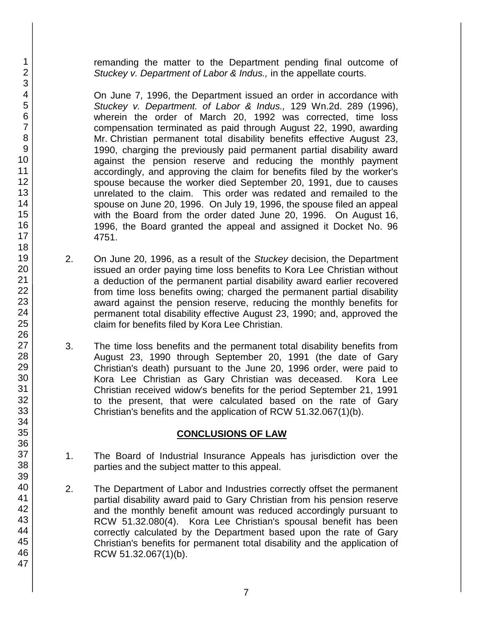remanding the matter to the Department pending final outcome of *Stuckey v. Department of Labor & Indus.,* in the appellate courts.

On June 7, 1996, the Department issued an order in accordance with *Stuckey v. Department. of Labor & Indus.,* 129 Wn.2d. 289 (1996), wherein the order of March 20, 1992 was corrected, time loss compensation terminated as paid through August 22, 1990, awarding Mr. Christian permanent total disability benefits effective August 23, 1990, charging the previously paid permanent partial disability award against the pension reserve and reducing the monthly payment accordingly, and approving the claim for benefits filed by the worker's spouse because the worker died September 20, 1991, due to causes unrelated to the claim. This order was redated and remailed to the spouse on June 20, 1996. On July 19, 1996, the spouse filed an appeal with the Board from the order dated June 20, 1996. On August 16, 1996, the Board granted the appeal and assigned it Docket No. 96 4751.

- 2. On June 20, 1996, as a result of the *Stuckey* decision, the Department issued an order paying time loss benefits to Kora Lee Christian without a deduction of the permanent partial disability award earlier recovered from time loss benefits owing; charged the permanent partial disability award against the pension reserve, reducing the monthly benefits for permanent total disability effective August 23, 1990; and, approved the claim for benefits filed by Kora Lee Christian.
- 3. The time loss benefits and the permanent total disability benefits from August 23, 1990 through September 20, 1991 (the date of Gary Christian's death) pursuant to the June 20, 1996 order, were paid to Kora Lee Christian as Gary Christian was deceased. Kora Lee Christian received widow's benefits for the period September 21, 1991 to the present, that were calculated based on the rate of Gary Christian's benefits and the application of RCW 51.32.067(1)(b).

#### **CONCLUSIONS OF LAW**

- 1. The Board of Industrial Insurance Appeals has jurisdiction over the parties and the subject matter to this appeal.
- 2. The Department of Labor and Industries correctly offset the permanent partial disability award paid to Gary Christian from his pension reserve and the monthly benefit amount was reduced accordingly pursuant to RCW 51.32.080(4). Kora Lee Christian's spousal benefit has been correctly calculated by the Department based upon the rate of Gary Christian's benefits for permanent total disability and the application of RCW 51.32.067(1)(b).